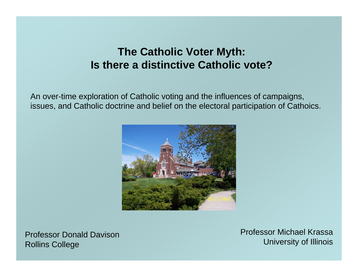# **The Catholic Voter Myth: Is there a distinctive Catholic vote?**

An over-time exploration of Catholic voting and the influences of campaigns, issues, and Catholic doctrine and belief on the electoral participation of Cathoics.



Professor Donald DavisonRollins College

Professor Michael KrassaUniversity of Illinois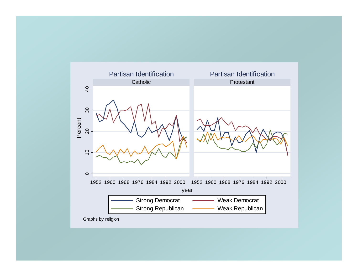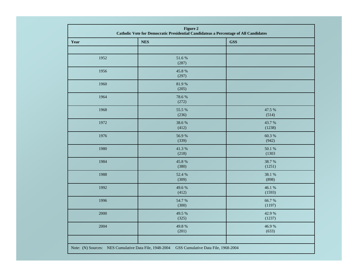| Figure 2<br>Catholic Vote for Democratic Presidential Candidateas a Percentage of All Candidates |                 |                  |  |  |  |  |
|--------------------------------------------------------------------------------------------------|-----------------|------------------|--|--|--|--|
| Year                                                                                             | <b>NES</b>      | <b>GSS</b>       |  |  |  |  |
|                                                                                                  |                 |                  |  |  |  |  |
| 1952                                                                                             | 51.6%<br>(287)  |                  |  |  |  |  |
| 1956                                                                                             | 45.8 %<br>(297) |                  |  |  |  |  |
| 1960                                                                                             | 81.9%<br>(205)  |                  |  |  |  |  |
| 1964                                                                                             | 78.6%<br>(272)  |                  |  |  |  |  |
| 1968                                                                                             | 55.5 %<br>(236) | 47.5 %<br>(514)  |  |  |  |  |
| 1972                                                                                             | 38.6%<br>(412)  | 43.7%<br>(1238)  |  |  |  |  |
| 1976                                                                                             | 56.9%<br>(339)  | 60.3%<br>(942)   |  |  |  |  |
| 1980                                                                                             | 41.3%<br>(218)  | 50.1 %<br>(1303) |  |  |  |  |
| 1984                                                                                             | 45.8%<br>(380)  | 38.7%<br>(1251)  |  |  |  |  |
| 1988                                                                                             | 52.4 %<br>(309) | 38.1 %<br>(898)  |  |  |  |  |
| 1992                                                                                             | 49.6%<br>(412)  | 46.1 %<br>(1593) |  |  |  |  |
| 1996                                                                                             | 54.7 %<br>(300) | 66.7%<br>(1197)  |  |  |  |  |
| 2000                                                                                             | 49.5 %<br>(325) | 42.9 %<br>(1237) |  |  |  |  |
| 2004                                                                                             | 49.8%<br>(201)  | 46.9%<br>(633)   |  |  |  |  |
| Note: (N) Sources: NES Cumulative Data File, 1948-2004<br>GSS Cumulative Data File, 1968-2004    |                 |                  |  |  |  |  |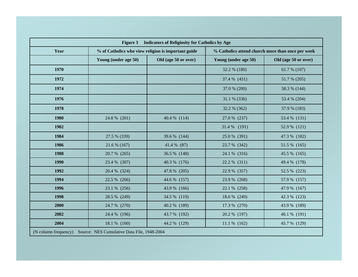| Figure 3 Indicators of Religiosity for Catholics by Age             |                                                     |                      |                                                   |                      |  |  |  |
|---------------------------------------------------------------------|-----------------------------------------------------|----------------------|---------------------------------------------------|----------------------|--|--|--|
| Year                                                                | % of Catholics who view religion is important guide |                      | % Catholics attend church more than once per week |                      |  |  |  |
|                                                                     | Young (under age 50)                                | Old (age 50 or over) | Young (under age 50)                              | Old (age 50 or over) |  |  |  |
| 1970                                                                |                                                     |                      | 52.2 % (180)                                      | 61.7 % $(107)$       |  |  |  |
| 1972                                                                |                                                     |                      | 37.4 % (431)                                      | 51.7 % (205)         |  |  |  |
| 1974                                                                |                                                     |                      | 37.0 % (200)                                      | 58.3 % (144)         |  |  |  |
| 1976                                                                |                                                     |                      | 31.1 % (336)                                      | 53.4 % (204)         |  |  |  |
| 1978                                                                |                                                     |                      | 32.2 % (362)                                      | 57.9 % (183)         |  |  |  |
| 1980                                                                | 24.8 % (201)                                        | 40.4 % (114)         | 27.0 % (237)                                      | 53.4 % (131)         |  |  |  |
| 1982                                                                |                                                     |                      | 31.4 % (191)                                      | 52.9 % (121)         |  |  |  |
| 1984                                                                | 27.5 % (339)                                        | 39.6 % (144)         | 25.0 % (391)                                      | 47.3 % (182)         |  |  |  |
| 1986                                                                | 21.6 % (167)                                        | 41.4 % (87)          | 23.7 % (342)                                      | 51.5 % (165)         |  |  |  |
| 1988                                                                | 20.7 % (265)                                        | 36.5 % (148)         | 24.1 % (316)                                      | 45.5 % (165)         |  |  |  |
| 1990                                                                | 23.4 % (307)                                        | 40.3 % (176)         | 22.2 % (311)                                      | 49.4 % (178)         |  |  |  |
| 1992                                                                | 20.4 % (324)                                        | 47.8 % (205)         | 22.9 % (357)                                      | 52.5 % (223)         |  |  |  |
| 1994                                                                | 22.5 % (266)                                        | 44.6 % (157)         | 23.9 % (268)                                      | 57.9 % (157)         |  |  |  |
| 1996                                                                | 23.1 % (256)                                        | 43.9 % (166)         | 22.1 % (258)                                      | 47.9 % (167)         |  |  |  |
| 1998                                                                | 28.5 % (249)                                        | 34.5 % (119)         | 18.6 % (249)                                      | 42.3 % (123)         |  |  |  |
| 2000                                                                | 24.7 % (270)                                        | 40.2 % (189)         | 17.3 % (270)                                      | 43.9 % (189)         |  |  |  |
| 2002                                                                | 24.4 % (196)                                        | 43.7 % (192)         | 20.2 % (197)                                      | 46.1 % (191)         |  |  |  |
| 2004                                                                | 18.1 % (160)                                        | 44.2 % (129)         | $11.1\%$ (162)                                    | 45.7 % (129)         |  |  |  |
| (N column frequency)<br>Source: NES Cumulative Data File, 1948-2004 |                                                     |                      |                                                   |                      |  |  |  |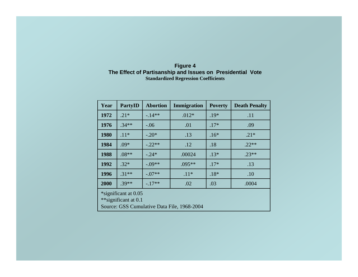| <b>Figure 4</b>                                            |  |  |  |  |  |  |
|------------------------------------------------------------|--|--|--|--|--|--|
| The Effect of Partisanship and Issues on Presidential Vote |  |  |  |  |  |  |
| <b>Standardized Regression Coefficients</b>                |  |  |  |  |  |  |

| Year                                                                                        | <b>PartyID</b> | <b>Abortion</b> | Immigration | <b>Poverty</b> | <b>Death Penalty</b> |  |
|---------------------------------------------------------------------------------------------|----------------|-----------------|-------------|----------------|----------------------|--|
| 1972                                                                                        | $.21*$         | $-14**$         | $.012*$     | $.19*$         | .11                  |  |
| 1976                                                                                        | $.34**$        | $-.06$          | .01         | $.17*$         | .09                  |  |
| 1980                                                                                        | $.11*$         | $-.20*$         | .13         | $.16*$         | $.21*$               |  |
| 1984                                                                                        | $.09*$         | $-22**$         | .12         | .18            | $22**$               |  |
| 1988                                                                                        | $.08**$        | $-.24*$         | .00024      | $.13*$         | $.23**$              |  |
| 1992                                                                                        | $.32*$         | $-.09**$        | $.095**$    | $.17*$         | .13                  |  |
| 1996                                                                                        | $.31**$        | $-.07**$        | $.11*$      | $.18*$         | .10                  |  |
| 2000                                                                                        | $.39**$        | $-17**$         | .02         | .03            | .0004                |  |
| *significant at 0.05<br>**significant at 0.1<br>Source: GSS Cumulative Data File, 1968-2004 |                |                 |             |                |                      |  |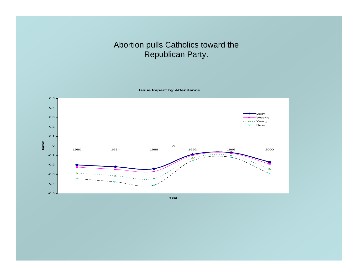# Abortion pulls Catholics toward the Republican Party.

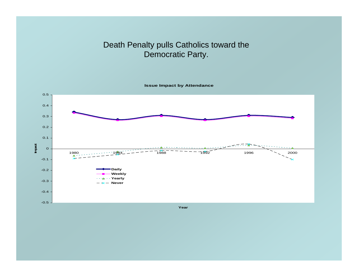# Death Penalty pulls Catholics toward the Democratic Party.

**Issue Impact by Attendance**

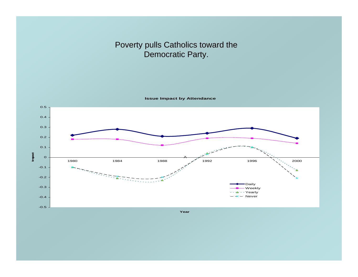# Poverty pulls Catholics toward the Democratic Party.

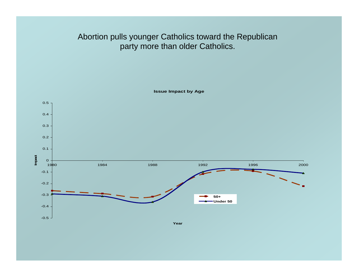# Abortion pulls younger Catholics toward the Republican party more than older Catholics.

**Issue Impact by Age**

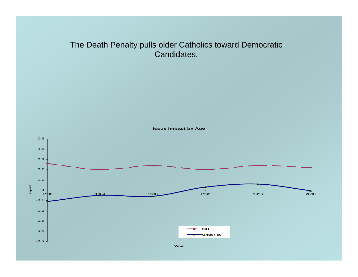#### The Death Penalty pulls older Catholics toward Democratic Candidates.

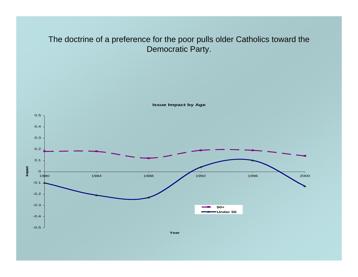#### The doctrine of a preference for the poor pulls older Catholics toward the Democratic Party.

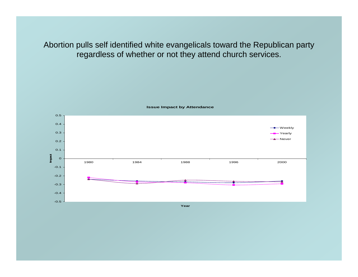Abortion pulls self identified white evangelicals toward the Republican party regardless of whether or not they attend church services.

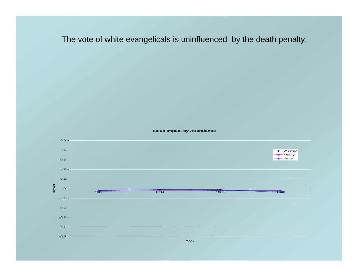The vote of white evangelicals is uninfluenced by the death penalty.